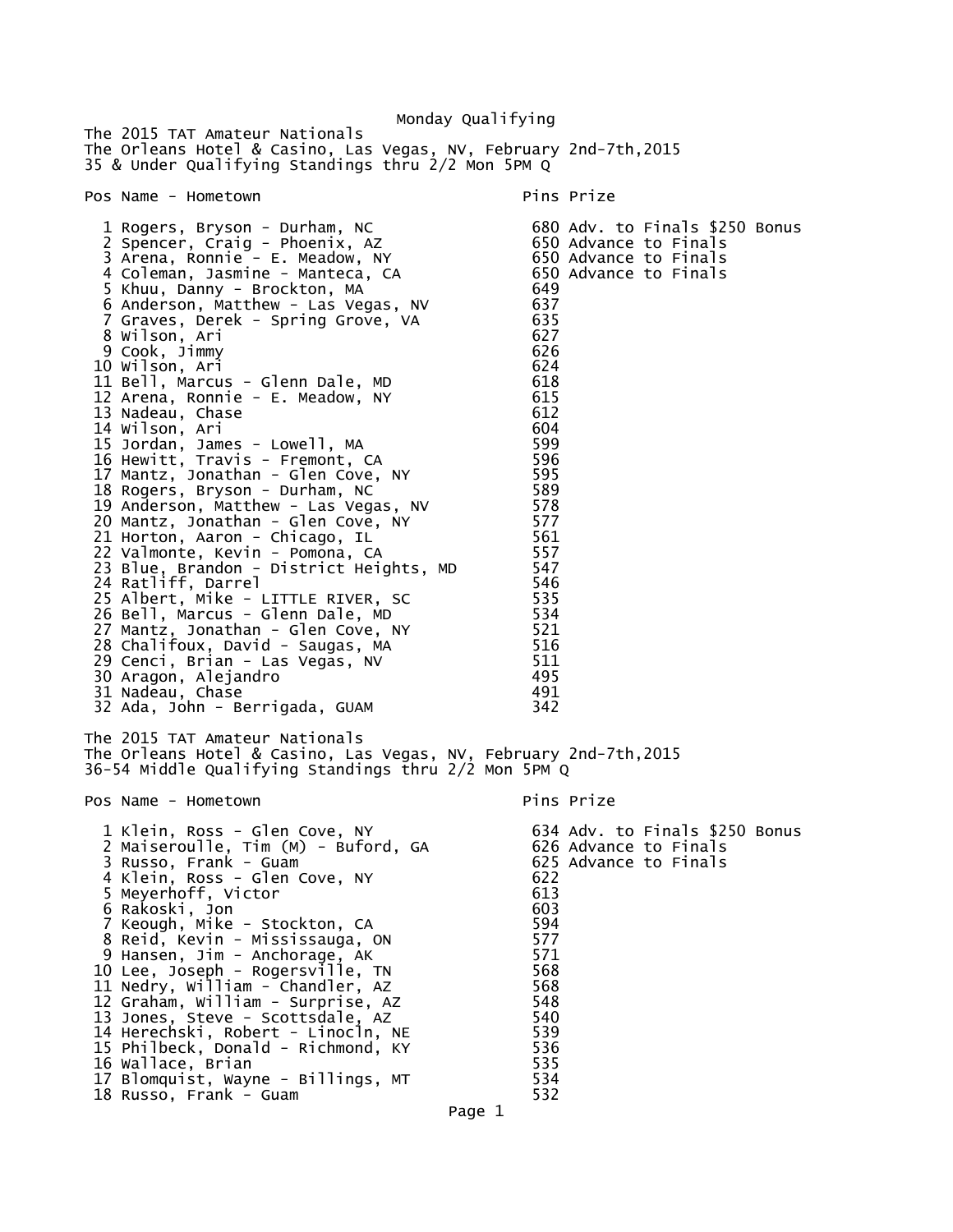Monday Qualifying The 2015 TAT Amateur Nationals The Orleans Hotel & Casino, Las Vegas, NV, February 2nd-7th,2015 35 & Under Qualifying Standings thru 2/2 Mon 5PM Q Pos Name - Hometown entry the pins Prize pins Prize 1 Rogers, Bryson - Durham, NC 680 Adv. to Finals \$250 Bonus 2 Spencer, Craig - Phoenix, AZ 650 Advance to Finals 3 Arena, Ronnie - E. Meadow, NY 650 Advance to Finals 4 Coleman, Jasmine - Manteca, CA 650 Advance to Finals 5 Khuu, Danny - Brockton, MA 649 6 Anderson, Matthew - Las Vegas, NV 637 7 Graves, Derek - Spring Grove, VA 635 8 Wilson, Ari 627 9 Cook, Jimmy 626 10 Wilson, Ari 624 11 Bell, Marcus - Glenn Dale, MD 12 Arena, Ronnie - E. Meadow, NY 615 13 Nadeau, Chase 612 14 Wilson, Ari 604 15 Jordan, James - Lowell, MA 599 16 Hewitt, Travis - Fremont, CA 596 17 Mantz, Jonathan - Glen Cove, NY 595 18 Rogers, Bryson - Durham, NC 589 19 Anderson, Matthew - Las Vegas, NV 578 20 Mantz, Jonathan - Glen Cove, NY 577 21 Horton, Aaron - Chicago, IL 561 22 Valmonte, Kevin - Pomona, CA 557 23 Blue, Brandon - District Heights, MD 547 24 Ratliff, Darrel 546 25 Albert, Mike - LITTLE RIVER, SC 535 26 Bell, Marcus - Glenn Dale, MD 534 27 Mantz, Jonathan - Glen Cove, NY 521 28 Chalifoux, David - Saugas, MA 516 29 Cenci, Brian - Las Vegas, NV 511 30 Aragon, Alejandro 495 31 Nadeau, Chase 491 32 Ada, John - Berrigada, GUAM The 2015 TAT Amateur Nationals The Orleans Hotel & Casino, Las Vegas, NV, February 2nd-7th,2015 36-54 Middle Qualifying Standings thru 2/2 Mon 5PM Q Pos Name - Hometown entry the pins Prize 1 Klein, Ross - Glen Cove, NY 634 Adv. to Finals \$250 Bonus 2 Maiseroulle, Tim (M) - Buford, GA 626 Advance to Finals 3 Russo, Frank - Guam 625 Advance to Finals 4 Klein, Ross - Glen Cove, NY 622 5 Meyerhoff, Victor 613 6 Rakoski, Jon 603 7 Keough, Mike - Stockton, CA 594 8 Reid, Kevin - Mississauga, ON 577 9 Hansen, Jim - Anchorage, AK 571 10 Lee, Joseph - Rogersville, TN 568 11 Nedry, William - Chandler, AZ 568 12 Graham, William - Surprise, AZ 548 13 Jones, Steve - Scottsdale, AZ 540 14 Herechski, Robert - Linocln, NE 539 15 Philbeck, Donald - Richmond, KY 536 16 Wallace, Brian 535 17 Blomquist, Wayne - Billings, MT 534 18 Russo, Frank - Guam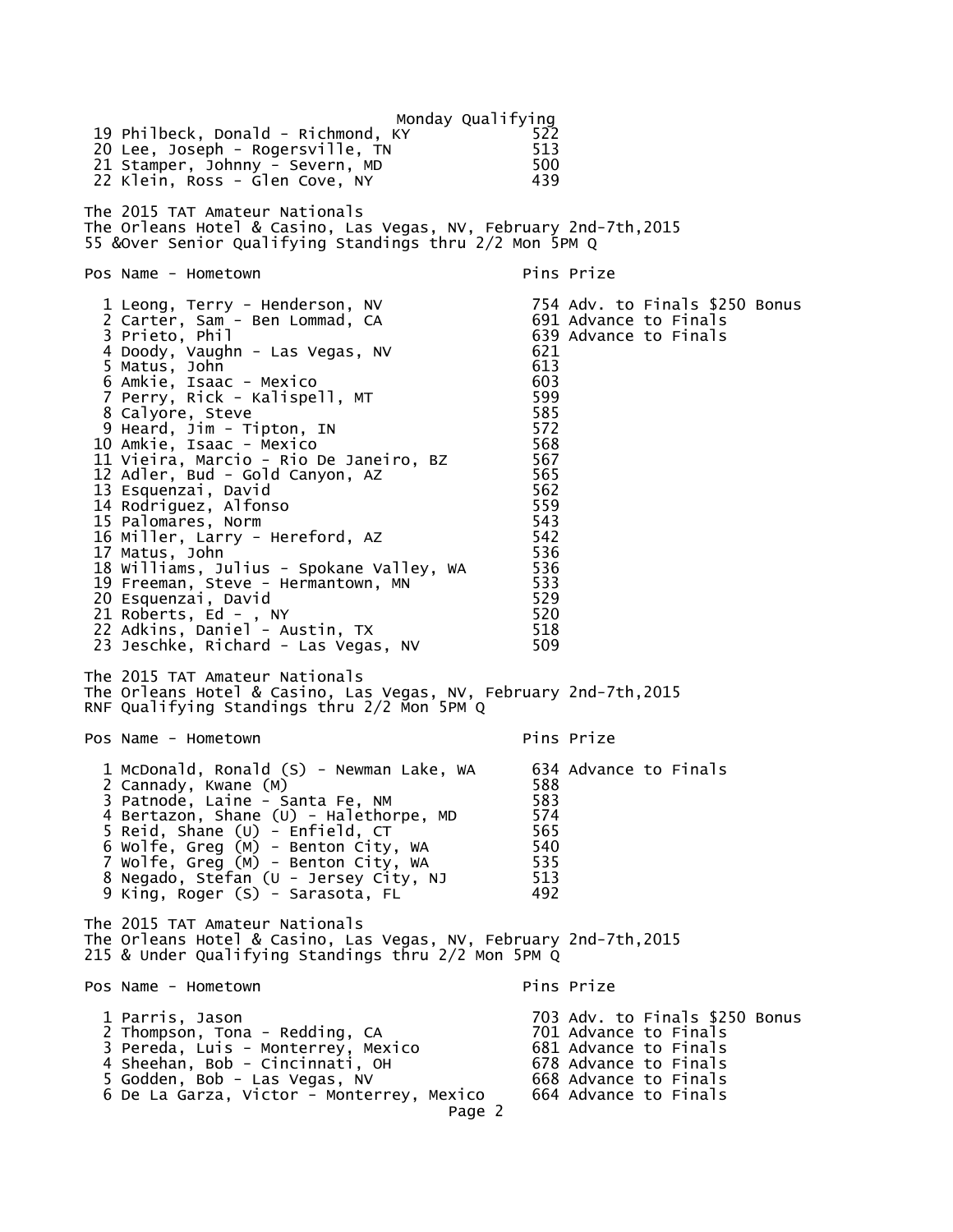Monday Qualifying<br>22ک 19 Philbeck, Donald - Richmond, KY 522 20 Lee, Joseph - Rogersville, TN 513 21 Stamper, Johnny - Severn, MD 22 Klein, Ross - Glen Cove, NY 439 The 2015 TAT Amateur Nationals The Orleans Hotel & Casino, Las Vegas, NV, February 2nd-7th,2015 55 &Over Senior Qualifying Standings thru 2/2 Mon 5PM Q Pos Name - Hometown Pins Prize 1 Leong, Terry - Henderson, NV 754 Adv. to Finals \$250 Bonus 2 Carter, Sam - Ben Lommad, CA 691 Advance to Finals 3 Prieto, Phil 639 Advance to Finals 4 Doody, Vaughn - Las Vegas, NV 621 5 Matus, John 613 6 Amkie, Isaac - Mexico 603 7 Perry, Rick - Kalispell, MT 599 8 Calyore, Steve 585 9 Heard, Jim - Tipton, IN 572 10 Amkie, Isaac - Mexico 568 11 Vieira, Marcio - Rio De Janeiro, BZ 567 12 Adler, Bud - Gold Canyon, AZ 565 13 Esquenzai, David 13 Esquenzai, David 14 Esquenzai, 1562<br>14 Rodriauez, Alfonso 14 Rodriguez, Alfonso 559 15 Palomares, Norm 543 16 Miller, Larry - Hereford, AZ 542 17 Matus, John 10 Matus, 17 Matus, 1986<br>18 Williams. Julius - Spokane Valley. WA 1536 18 Williams, Julius - Spokane Valley, WA 536 19 Freeman, Steve - Hermantown, MN 533 20 Esquenzai, David 529 21 Roberts, Ed - , NY 520 22 Adkins, Daniel - Austin, TX 518 23 Jeschke, Richard - Las Vegas, NV 509 The 2015 TAT Amateur Nationals The Orleans Hotel & Casino, Las Vegas, NV, February 2nd-7th,2015 RNF Qualifying Standings thru 2/2 Mon 5PM Q Pos Name - Hometown Pins Prize 1 McDonald, Ronald (S) - Newman Lake, WA 634 Advance to Finals<br>2 Cannady. Kwane (M) 2 Cannady, Kwane (M) 588 3 Patnode, Laine - Santa Fe, NM 583 4 Bertazon, Shane (U) - Halethorpe, MD 574 5 Reid, Shane (U) - Enfield, CT 565 6 Wolfe, Greg (M) - Benton City, WA 540 7 Wolfe, Greg (M) - Benton City, WA 535 8 Negado, Stefan (U - Jersey City, NJ 513 9 King, Roger (S) - Sarasota, FL 492 The 2015 TAT Amateur Nationals The Orleans Hotel & Casino, Las Vegas, NV, February 2nd-7th,2015 215 & Under Qualifying Standings thru 2/2 Mon 5PM Q Pos Name - Hometown Pins Prize 1 Parris, Jason 703 Adv. to Finals \$250 Bonus 2 Thompson, Tona - Redding, CA 701 Advance to Finals 3 Pereda, Luis - Monterrey, Mexico 681 Advance to Finals 4 Sheehan, Bob - Cincinnati, OH 678 Advance to Finals 5 Godden, Bob - Las Vegas, NV 668 Advance to Finals 6 De La Garza, Victor - Monterrey, Mexico Page 2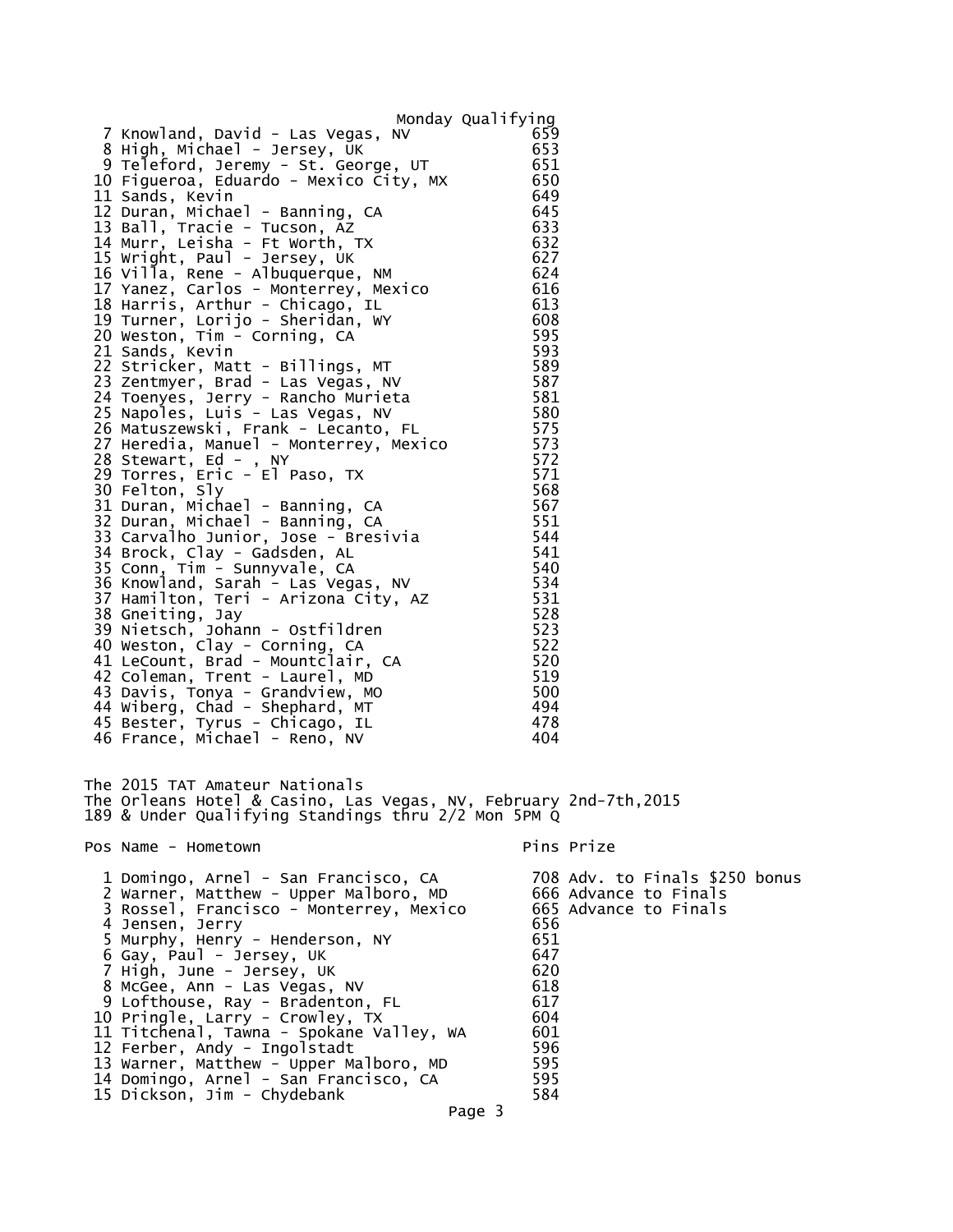| 7 Knowland, David - Las Vegas, NV<br>8 High, Michael - Jersey, UK                                                                                                                                                                                                                                                                                                                                                            | Monday Qualifying<br>659<br>653                                    |            |                                                |  |
|------------------------------------------------------------------------------------------------------------------------------------------------------------------------------------------------------------------------------------------------------------------------------------------------------------------------------------------------------------------------------------------------------------------------------|--------------------------------------------------------------------|------------|------------------------------------------------|--|
| 9 Teleford, Jeremy - St. George, UT<br>10 Figueroa, Eduardo - Mexico City, MX<br>11 Sands, Kevin<br>12 Duran, Michael - Banning, CA<br>13 Ball, Tracie - Tucson, AZ                                                                                                                                                                                                                                                          | 651<br>650<br>649<br>645<br>633                                    |            |                                                |  |
| 14 Murr, Leisha - Ft Worth, TX<br>15 Wright, Paul - Jersey, UK<br>16 Villa, Rene - Albuquerque, NM<br>17 Yanez, Carlos - Monterrey, Mexico<br>18 Harris, Arthur - Chicago, IL<br>19 Turner, Lorijo - Sheridan, WY                                                                                                                                                                                                            | 632<br>627<br>624<br>616<br>613<br>608                             |            |                                                |  |
| 20 Weston, Tim - Corning, CA<br>21 Sands, Kevin<br>22 Stricker, Matt - Billings, MT<br>23 Zentmyer, Brad - Las Vegas, NV<br>24 Toenyes, Jerry - Rancho Murieta                                                                                                                                                                                                                                                               | 595<br>593<br>589<br>587<br>581                                    |            |                                                |  |
| 25 Napoles, Luis - Las Vegas, NV<br>26 Matuszewski, Frank - Lecanto, FL<br>27 Heredia, Manuel - Monterrey, Mexico<br>28 Stewart, Ed - , NY<br>29 Torres, Eric - El Paso, TX                                                                                                                                                                                                                                                  | 580<br>575<br>573<br>572<br>571<br>568                             |            |                                                |  |
| 30 Felton, Sly<br>31 Duran, Michael - Banning, CA<br>32 Duran, Michael - Banning, CA<br>33 Carvalho Junior, Jose - Bresivia<br>34 Brock, Clay - Gadsden, AL<br>35 Conn, Tim - Sunnyvale, CA                                                                                                                                                                                                                                  | 567<br>551<br>544<br>541<br>540                                    |            |                                                |  |
| 36 Knowland, Sarah - Las Vegas, NV<br>37 Hamilton, Teri - Arizona City, AZ<br>38 Gneiting, Jay<br>39 Nietsch, Johann - Ostfildren<br>40 Weston, Clay - Corning, CA                                                                                                                                                                                                                                                           | 534<br>531<br>528<br>523<br>522                                    |            |                                                |  |
| 41 LeCount, Brad - Mountclair, CA<br>42 Coleman, Trent - Laurel, MD<br>43 Davis, Tonya - Grandview, MO<br>44 Wiberg, Chad - Shephard, MT<br>45 Bester, Tyrus - Chicago, IL                                                                                                                                                                                                                                                   | 520<br>519<br>500<br>494<br>478<br>404                             |            |                                                |  |
| 46 France, Michael - Reno, NV<br>The 2015 TAT Amateur Nationals<br>The Orleans Hotel & Casino, Las Vegas, NV, February 2nd-7th,2015                                                                                                                                                                                                                                                                                          |                                                                    |            |                                                |  |
| 189 & Under Qualifying Standings thru 2/2 Mon 5PM Q<br>Pos Name - Hometown                                                                                                                                                                                                                                                                                                                                                   |                                                                    | Pins Prize |                                                |  |
| 1 Domingo, Arnel - San Francisco, CA                                                                                                                                                                                                                                                                                                                                                                                         |                                                                    |            | 708 Adv. to Finals \$250 bonus                 |  |
| 2 Warner, Matthew - Upper Malboro, MD<br>3 Rossel, Francisco - Monterrey, Mexico<br>4 Jensen, Jerry<br>5 Murphy, Henry - Henderson, NY<br>6 Gay, Paul - Jersey, UK<br>7 High, June - Jersey, UK<br>8 McGee, Ann - Las Vegas, NV<br>9 Lofthouse, Ray - Bradenton, FL<br>10 Pringle, Larry - Crowley, TX<br>11 Titchenal, Tawna - Spokane Valley, WA<br>12 Ferber, Andy - Ingolstadt<br>13 Warner, Matthew - Upper Malboro, MD | 656<br>651<br>647<br>620<br>618<br>617<br>604<br>601<br>596<br>595 |            | 666 Advance to Finals<br>665 Advance to Finals |  |
| 14 Domingo, Arnel - San Francisco, CA<br>15 Dickson, Jim - Chydebank                                                                                                                                                                                                                                                                                                                                                         | 595<br>584                                                         |            |                                                |  |

Page 3